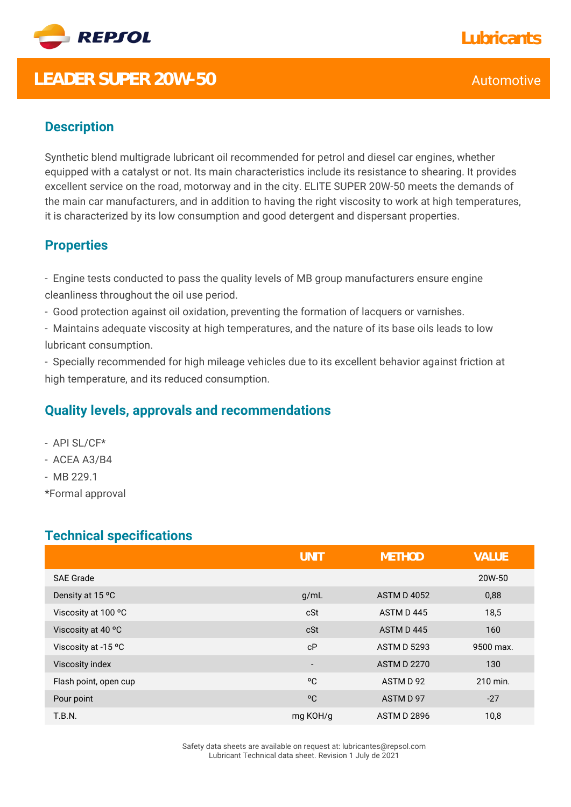

## **LEADER SUPER 20W-50** Automotive

### **Description**

Synthetic blend multigrade lubricant oil recommended for petrol and diesel car engines, whether equipped with a catalyst or not. Its main characteristics include its resistance to shearing. It provides excellent service on the road, motorway and in the city. ELITE SUPER 20W-50 meets the demands of the main car manufacturers, and in addition to having the right viscosity to work at high temperatures, it is characterized by its low consumption and good detergent and dispersant properties.

### **Properties**

- Engine tests conducted to pass the quality levels of MB group manufacturers ensure engine cleanliness throughout the oil use period.

- Good protection against oil oxidation, preventing the formation of lacquers or varnishes.

- Maintains adequate viscosity at high temperatures, and the nature of its base oils leads to low lubricant consumption.

- Specially recommended for high mileage vehicles due to its excellent behavior against friction at high temperature, and its reduced consumption.

#### **Quality levels, approvals and recommendations**

- API SL/CF\*
- ACEA A3/B4
- MB 229.1

\*Formal approval

### **Technical specifications**

|                       | <b>UNIT</b>              | <b>METHOD</b>      | <b>VALUE</b> |
|-----------------------|--------------------------|--------------------|--------------|
| <b>SAE Grade</b>      |                          |                    | 20W-50       |
| Density at 15 °C      | g/mL                     | <b>ASTM D 4052</b> | 0,88         |
| Viscosity at 100 °C   | cSt                      | ASTM D445          | 18,5         |
| Viscosity at 40 °C    | cSt                      | ASTM D445          | 160          |
| Viscosity at -15 °C   | cP                       | <b>ASTM D 5293</b> | 9500 max.    |
| Viscosity index       | $\overline{\phantom{a}}$ | <b>ASTM D 2270</b> | 130          |
| Flash point, open cup | °C                       | ASTM D 92          | 210 min.     |
| Pour point            | °C                       | ASTM D 97          | $-27$        |
| <b>T.B.N.</b>         | mg KOH/g                 | <b>ASTM D 2896</b> | 10,8         |

Safety data sheets are available on request at: lubricantes@repsol.com Lubricant Technical data sheet. Revision 1 July de 2021